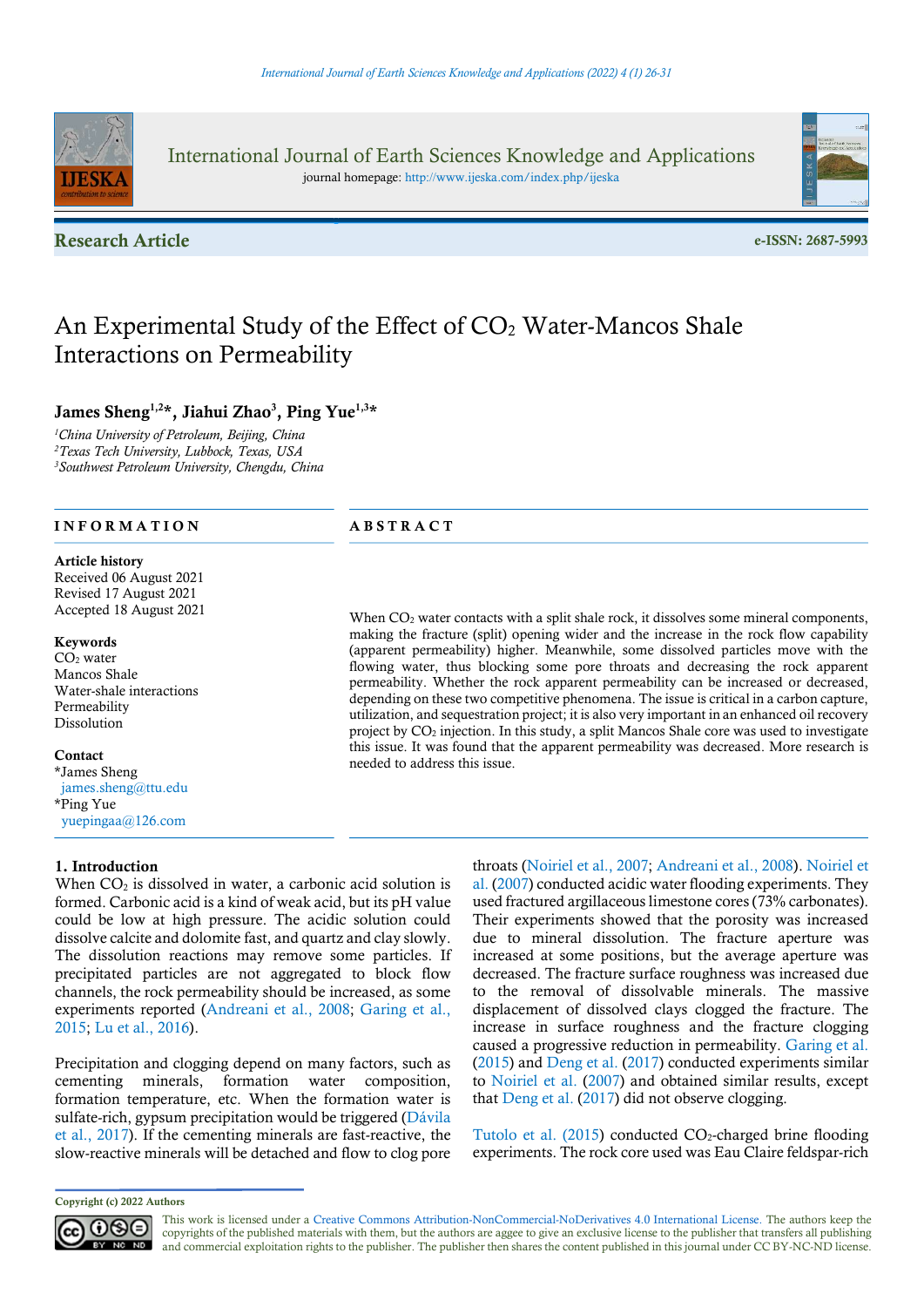

International Journal of Earth Sciences Knowledge and Applications journal homepage: http://www.ijeska.com/index.php/ijeska

Research Article e-ISSN: 2687-5993



# An Experimental Study of the Effect of  $CO<sub>2</sub>$  Water-Mancos Shale Interactions on Permeability

# James Sheng<sup>1,2\*</sup>, Jiahui Zhao<sup>3</sup>, Ping Yue<sup>1,3\*</sup>

<sup>1</sup>China University of Petroleum, Beijing, China <sup>2</sup>Texas Tech University, Lubbock, Texas, USA <sup>3</sup>Southwest Petroleum University, Chengdu, China

# INFORMATION ABSTRACT

#### Article history

Received 06 August 2021 Revised 17 August 2021 Accepted 18 August 2021

#### Keywords

CO2 water Mancos Shale Water-shale interactions Permeability Dissolution

#### Contact

\*James Sheng james.sheng@ttu.edu \*Ping Yue yuepingaa@126.com

#### 1. Introduction

When  $CO<sub>2</sub>$  is dissolved in water, a carbonic acid solution is formed. Carbonic acid is a kind of weak acid, but its pH value could be low at high pressure. The acidic solution could dissolve calcite and dolomite fast, and quartz and clay slowly. The dissolution reactions may remove some particles. If precipitated particles are not aggregated to block flow channels, the rock permeability should be increased, as some experiments reported (Andreani et al., 2008; Garing et al., 2015; Lu et al., 2016).

Precipitation and clogging depend on many factors, such as cementing minerals, formation water composition, formation temperature, etc. When the formation water is sulfate-rich, gypsum precipitation would be triggered (Dávila et al., 2017). If the cementing minerals are fast-reactive, the slow-reactive minerals will be detached and flow to clog pore

(apparent permeability) higher. Meanwhile, some dissolved particles move with the flowing water, thus blocking some pore throats and decreasing the rock apparent permeability. Whether the rock apparent permeability can be increased or decreased, depending on these two competitive phenomena. The issue is critical in a carbon capture, utilization, and sequestration project; it is also very important in an enhanced oil recovery project by CO<sup>2</sup> injection. In this study, a split Mancos Shale core was used to investigate this issue. It was found that the apparent permeability was decreased. More research is needed to address this issue.

When CO<sub>2</sub> water contacts with a split shale rock, it dissolves some mineral components, making the fracture (split) opening wider and the increase in the rock flow capability

> throats (Noiriel et al., 2007; Andreani et al., 2008). Noiriel et al. (2007) conducted acidic water flooding experiments. They used fractured argillaceous limestone cores (73% carbonates). Their experiments showed that the porosity was increased due to mineral dissolution. The fracture aperture was increased at some positions, but the average aperture was decreased. The fracture surface roughness was increased due to the removal of dissolvable minerals. The massive displacement of dissolved clays clogged the fracture. The increase in surface roughness and the fracture clogging caused a progressive reduction in permeability. Garing et al. (2015) and Deng et al. (2017) conducted experiments similar to Noiriel et al. (2007) and obtained similar results, except that Deng et al. (2017) did not observe clogging.

> Tutolo et al.  $(2015)$  conducted  $CO<sub>2</sub>$ -charged brine flooding experiments. The rock core used was Eau Claire feldspar-rich

This work is licensed under a Creative Commons Attribution-NonCommercial-NoDerivatives 4.0 International License. The authors keep the copyrights of the published materials with them, but the authors are aggee to give an exclusive license to the publisher that transfers all publishing and commercial exploitation rights to the publisher. The publisher then shares the content published in this journal under CC BY-NC-ND license.

Copyright (c) 2022 Authors

 $0$ 90 BY NC ND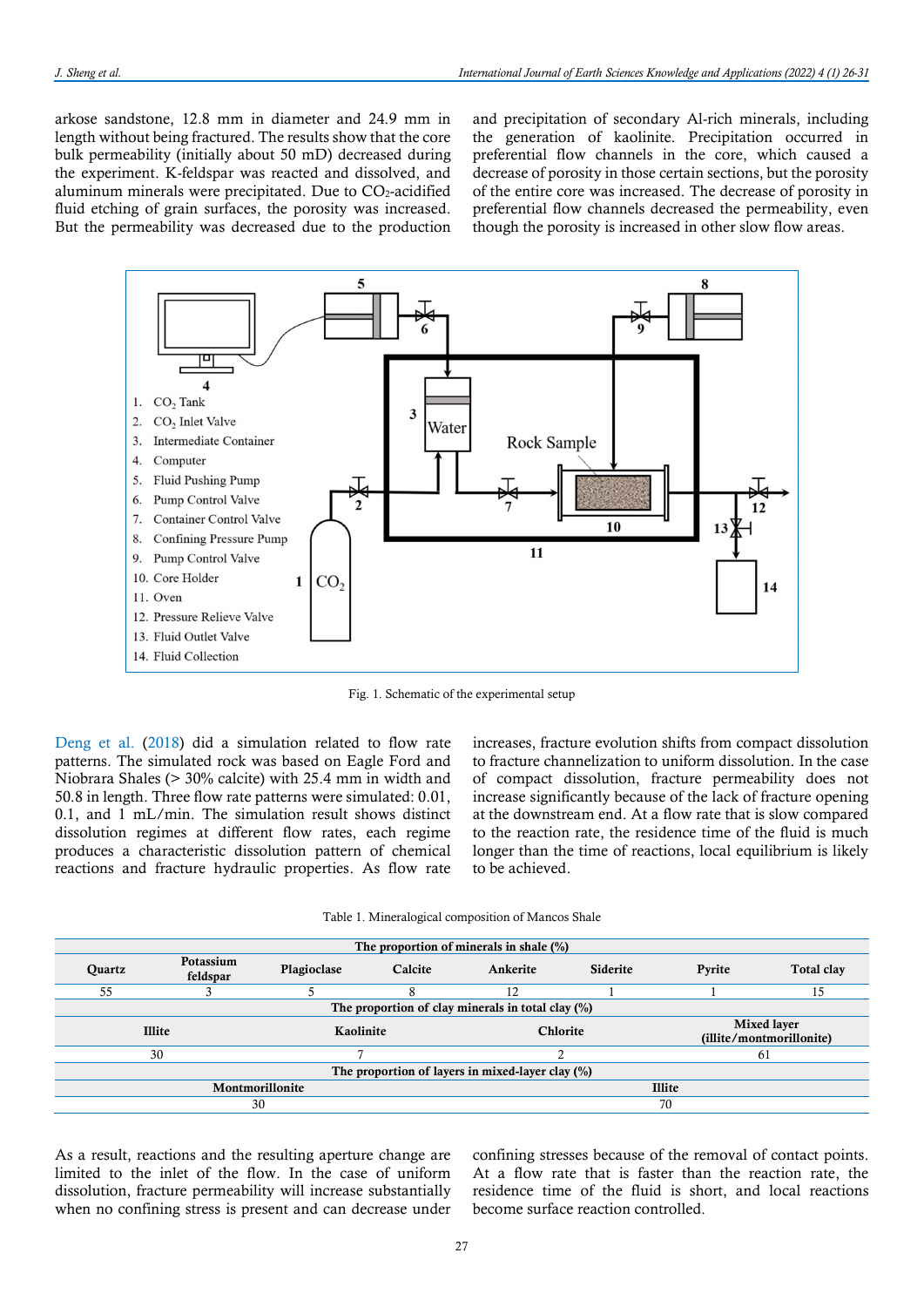arkose sandstone, 12.8 mm in diameter and 24.9 mm in length without being fractured. The results show that the core bulk permeability (initially about 50 mD) decreased during the experiment. K-feldspar was reacted and dissolved, and aluminum minerals were precipitated. Due to  $CO<sub>2</sub>$ -acidified fluid etching of grain surfaces, the porosity was increased. But the permeability was decreased due to the production and precipitation of secondary Al-rich minerals, including the generation of kaolinite. Precipitation occurred in preferential flow channels in the core, which caused a decrease of porosity in those certain sections, but the porosity of the entire core was increased. The decrease of porosity in preferential flow channels decreased the permeability, even though the porosity is increased in other slow flow areas.



Fig. 1. Schematic of the experimental setup

Deng et al. (2018) did a simulation related to flow rate patterns. The simulated rock was based on Eagle Ford and Niobrara Shales (> 30% calcite) with 25.4 mm in width and 50.8 in length. Three flow rate patterns were simulated: 0.01, 0.1, and 1 mL/min. The simulation result shows distinct dissolution regimes at different flow rates, each regime produces a characteristic dissolution pattern of chemical reactions and fracture hydraulic properties. As flow rate

increases, fracture evolution shifts from compact dissolution to fracture channelization to uniform dissolution. In the case of compact dissolution, fracture permeability does not increase significantly because of the lack of fracture opening at the downstream end. At a flow rate that is slow compared to the reaction rate, the residence time of the fluid is much longer than the time of reactions, local equilibrium is likely to be achieved.

| Table 1. Mineralogical composition of Mancos Shale |  |  |  |
|----------------------------------------------------|--|--|--|
|----------------------------------------------------|--|--|--|

| The proportion of minerals in shale $(\%)$           |                            |             |          |               |                 |                                                |                   |  |  |  |
|------------------------------------------------------|----------------------------|-------------|----------|---------------|-----------------|------------------------------------------------|-------------------|--|--|--|
| <b>Ouartz</b>                                        | Potassium<br>feldspar      | Plagioclase | Calcite  | Ankerite      | <b>Siderite</b> | Pyrite                                         | <b>Total clay</b> |  |  |  |
| 55                                                   |                            |             |          | 12            |                 |                                                | 15                |  |  |  |
| The proportion of clay minerals in total clay $(\%)$ |                            |             |          |               |                 |                                                |                   |  |  |  |
|                                                      | <b>Illite</b><br>Kaolinite |             | Chlorite |               |                 | <b>Mixed layer</b><br>(illite/montmorillonite) |                   |  |  |  |
|                                                      | 30                         |             |          |               |                 |                                                | 61                |  |  |  |
| The proportion of layers in mixed-layer clay $(\%)$  |                            |             |          |               |                 |                                                |                   |  |  |  |
| Montmorillonite                                      |                            |             |          | <b>Illite</b> |                 |                                                |                   |  |  |  |
| 30                                                   |                            |             |          | 70            |                 |                                                |                   |  |  |  |

As a result, reactions and the resulting aperture change are limited to the inlet of the flow. In the case of uniform dissolution, fracture permeability will increase substantially when no confining stress is present and can decrease under confining stresses because of the removal of contact points. At a flow rate that is faster than the reaction rate, the residence time of the fluid is short, and local reactions become surface reaction controlled.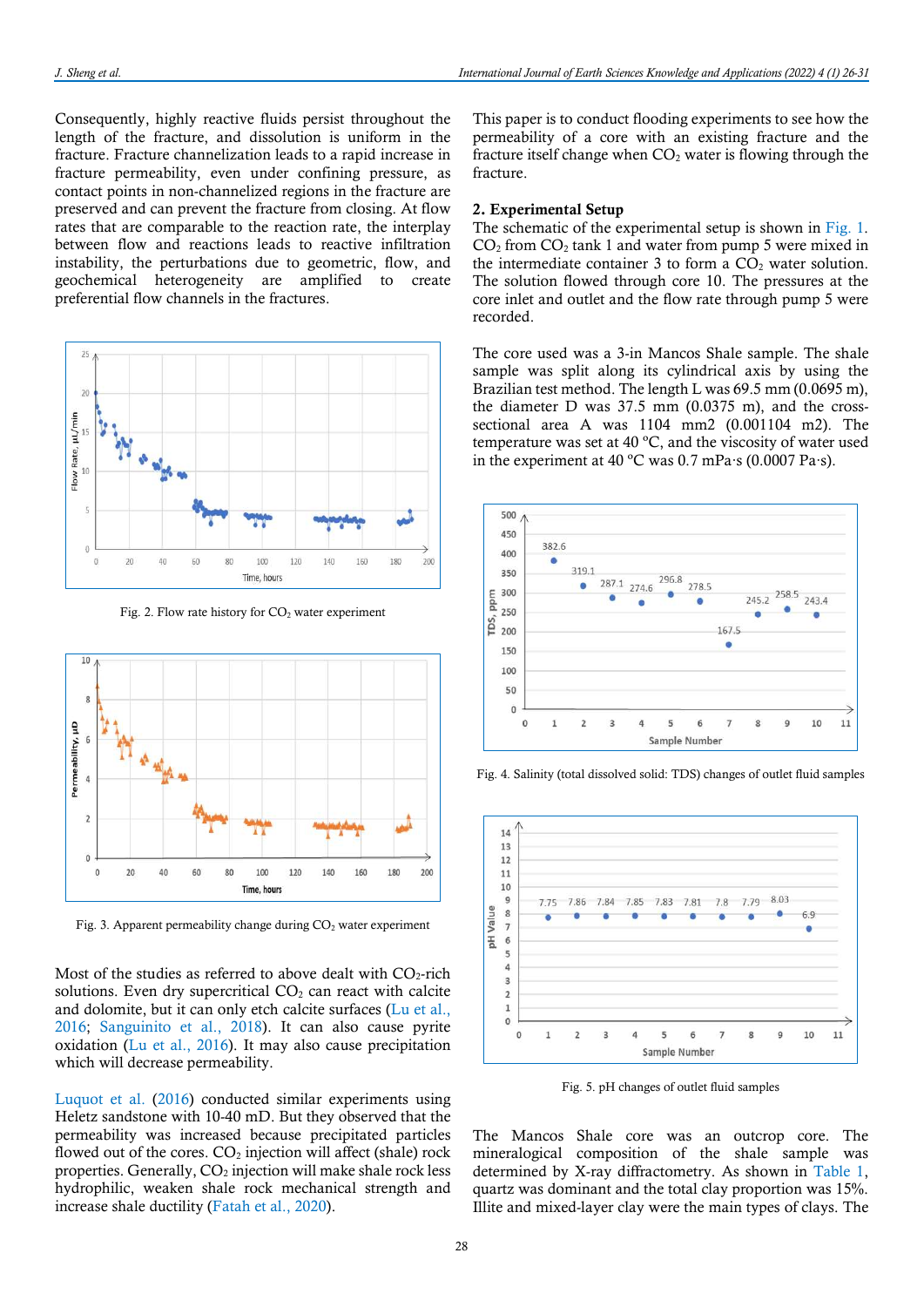Consequently, highly reactive fluids persist throughout the length of the fracture, and dissolution is uniform in the fracture. Fracture channelization leads to a rapid increase in fracture permeability, even under confining pressure, as contact points in non-channelized regions in the fracture are preserved and can prevent the fracture from closing. At flow rates that are comparable to the reaction rate, the interplay between flow and reactions leads to reactive infiltration instability, the perturbations due to geometric, flow, and geochemical heterogeneity are amplified to create preferential flow channels in the fractures.



Fig. 2. Flow rate history for  $CO<sub>2</sub>$  water experiment



Fig. 3. Apparent permeability change during CO<sub>2</sub> water experiment

Most of the studies as referred to above dealt with  $CO<sub>2</sub>$ -rich solutions. Even dry supercritical  $CO<sub>2</sub>$  can react with calcite and dolomite, but it can only etch calcite surfaces (Lu et al., 2016; Sanguinito et al., 2018). It can also cause pyrite oxidation (Lu et al., 2016). It may also cause precipitation which will decrease permeability.

Luquot et al. (2016) conducted similar experiments using Heletz sandstone with 10-40 mD. But they observed that the permeability was increased because precipitated particles flowed out of the cores.  $CO<sub>2</sub>$  injection will affect (shale) rock properties. Generally,  $CO<sub>2</sub>$  injection will make shale rock less hydrophilic, weaken shale rock mechanical strength and increase shale ductility (Fatah et al., 2020).

This paper is to conduct flooding experiments to see how the permeability of a core with an existing fracture and the fracture itself change when  $CO<sub>2</sub>$  water is flowing through the fracture.

#### 2. Experimental Setup

The schematic of the experimental setup is shown in Fig. 1.  $CO<sub>2</sub>$  from  $CO<sub>2</sub>$  tank 1 and water from pump 5 were mixed in the intermediate container  $3$  to form a  $CO<sub>2</sub>$  water solution. The solution flowed through core 10. The pressures at the core inlet and outlet and the flow rate through pump 5 were recorded.

The core used was a 3-in Mancos Shale sample. The shale sample was split along its cylindrical axis by using the Brazilian test method. The length L was 69.5 mm (0.0695 m), the diameter D was 37.5 mm (0.0375 m), and the crosssectional area A was 1104 mm2 (0.001104 m2). The temperature was set at 40 ºC, and the viscosity of water used in the experiment at 40 ºC was 0.7 mPa∙s (0.0007 Pa∙s).



Fig. 4. Salinity (total dissolved solid: TDS) changes of outlet fluid samples



Fig. 5. pH changes of outlet fluid samples

The Mancos Shale core was an outcrop core. The mineralogical composition of the shale sample was determined by X-ray diffractometry. As shown in Table 1, quartz was dominant and the total clay proportion was 15%. Illite and mixed-layer clay were the main types of clays. The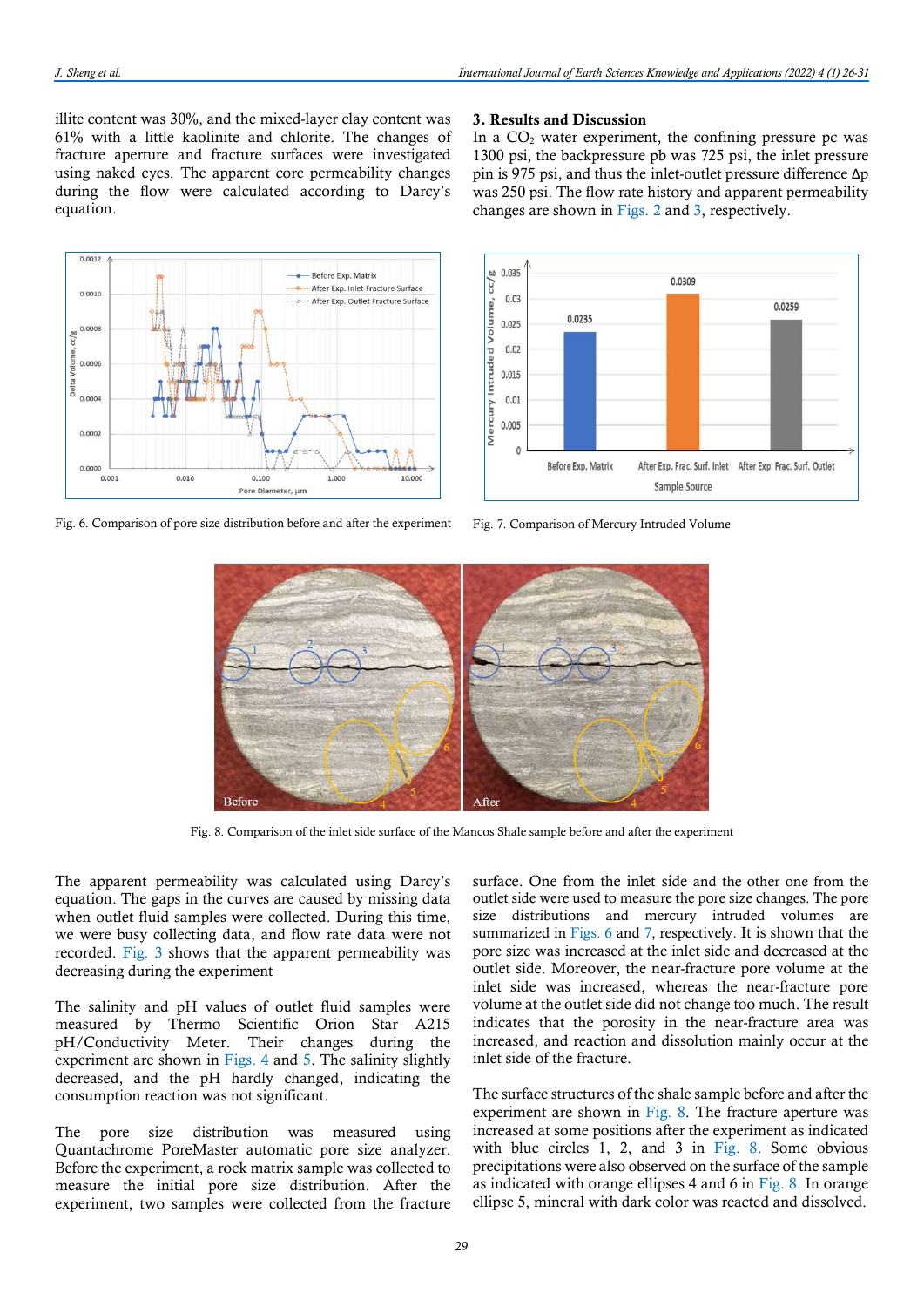In a  $CO<sub>2</sub>$  water experiment, the confining pressure pc was

3. Results and Discussion

illite content was 30%, and the mixed-layer clay content was 61% with a little kaolinite and chlorite. The changes of fracture aperture and fracture surfaces were investigated using naked eyes. The apparent core permeability changes during the flow were calculated according to Darcy's equation.



Fig. 6. Comparison of pore size distribution before and after the experiment









Fig. 8. Comparison of the inlet side surface of the Mancos Shale sample before and after the experiment

The apparent permeability was calculated using Darcy's equation. The gaps in the curves are caused by missing data when outlet fluid samples were collected. During this time, we were busy collecting data, and flow rate data were not recorded. Fig. 3 shows that the apparent permeability was decreasing during the experiment

The salinity and pH values of outlet fluid samples were measured by Thermo Scientific Orion Star A215 pH/Conductivity Meter. Their changes during the experiment are shown in Figs. 4 and 5. The salinity slightly decreased, and the pH hardly changed, indicating the consumption reaction was not significant.

The pore size distribution was measured using Quantachrome PoreMaster automatic pore size analyzer. Before the experiment, a rock matrix sample was collected to measure the initial pore size distribution. After the experiment, two samples were collected from the fracture surface. One from the inlet side and the other one from the outlet side were used to measure the pore size changes. The pore size distributions and mercury intruded volumes are summarized in Figs. 6 and 7, respectively. It is shown that the pore size was increased at the inlet side and decreased at the outlet side. Moreover, the near-fracture pore volume at the inlet side was increased, whereas the near-fracture pore volume at the outlet side did not change too much. The result indicates that the porosity in the near-fracture area was increased, and reaction and dissolution mainly occur at the inlet side of the fracture.

The surface structures of the shale sample before and after the experiment are shown in Fig. 8. The fracture aperture was increased at some positions after the experiment as indicated with blue circles 1, 2, and 3 in Fig. 8. Some obvious precipitations were also observed on the surface of the sample as indicated with orange ellipses 4 and 6 in Fig. 8. In orange ellipse 5, mineral with dark color was reacted and dissolved.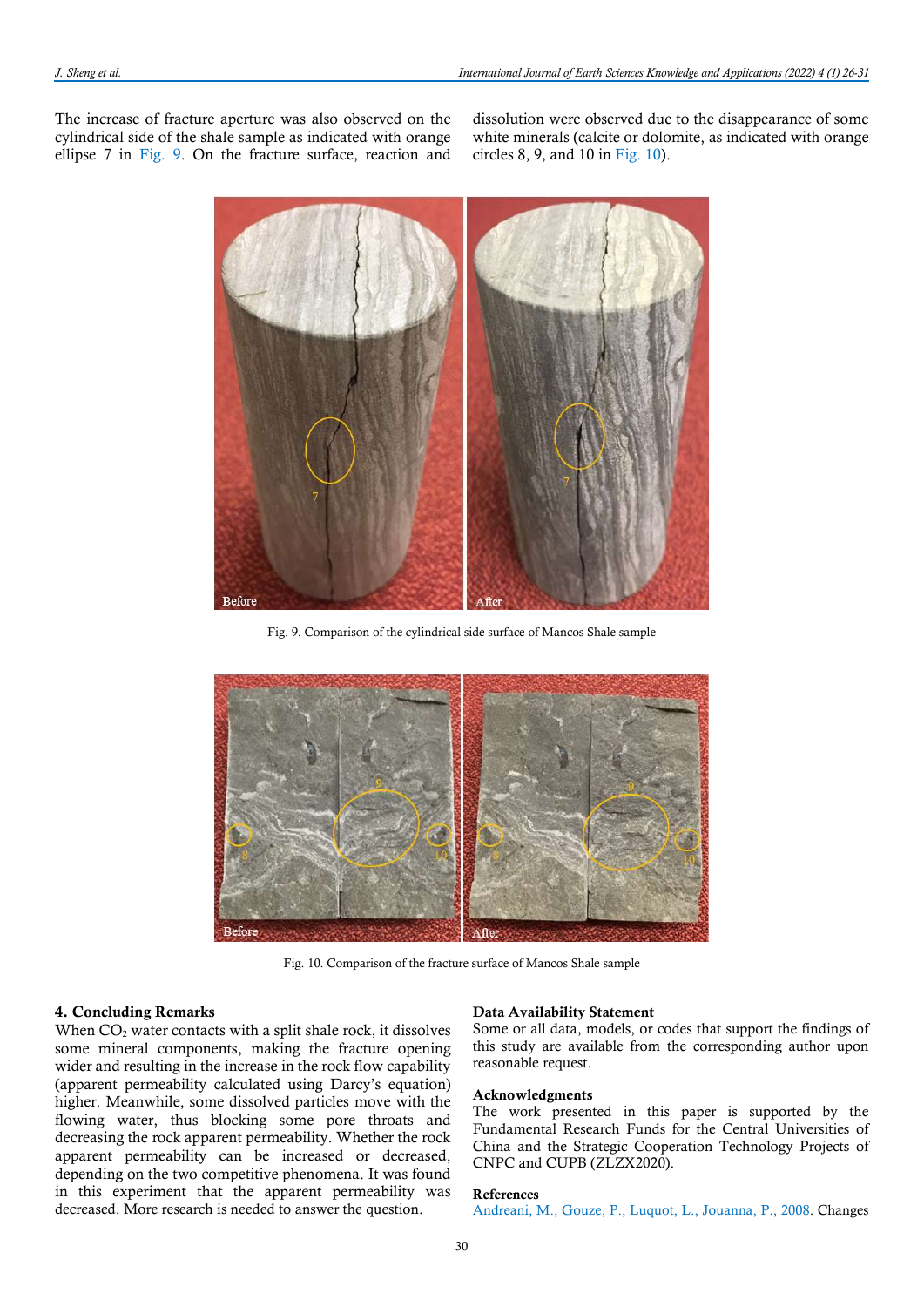The increase of fracture aperture was also observed on the cylindrical side of the shale sample as indicated with orange ellipse 7 in Fig. 9. On the fracture surface, reaction and

dissolution were observed due to the disappearance of some white minerals (calcite or dolomite, as indicated with orange circles 8, 9, and 10 in Fig. 10).



Fig. 9. Comparison of the cylindrical side surface of Mancos Shale sample



Fig. 10. Comparison of the fracture surface of Mancos Shale sample

# 4. Concluding Remarks

When  $CO<sub>2</sub>$  water contacts with a split shale rock, it dissolves some mineral components, making the fracture opening wider and resulting in the increase in the rock flow capability (apparent permeability calculated using Darcy's equation) higher. Meanwhile, some dissolved particles move with the flowing water, thus blocking some pore throats and decreasing the rock apparent permeability. Whether the rock apparent permeability can be increased or decreased, depending on the two competitive phenomena. It was found in this experiment that the apparent permeability was decreased. More research is needed to answer the question.

#### Data Availability Statement

Some or all data, models, or codes that support the findings of this study are available from the corresponding author upon reasonable request.

### Acknowledgments

The work presented in this paper is supported by the Fundamental Research Funds for the Central Universities of China and the Strategic Cooperation Technology Projects of CNPC and CUPB (ZLZX2020).

# References

Andreani, M., Gouze, P., Luquot, L., Jouanna, P., 2008. Changes